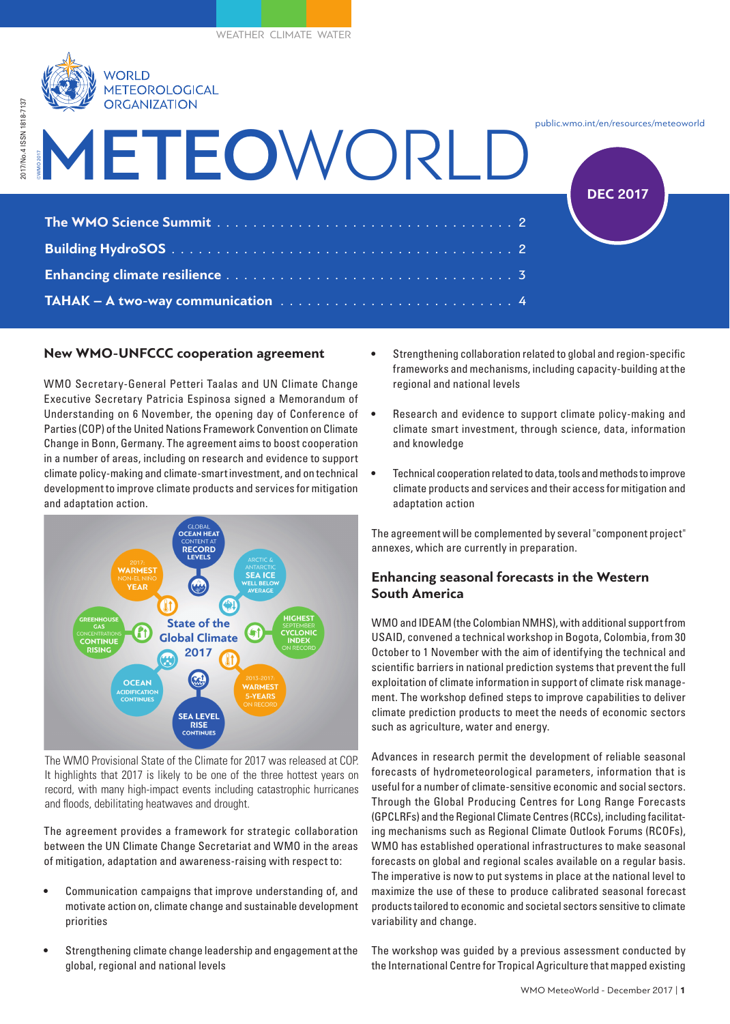

# METEO WORLD ©WMO 2017 public.wmo.int/en/resources/meteoworld **The WMO Science Summit** . . . . . . . . . . . . . . . . . . . . . . . . . . . . . . . . 2 **Building HydroSOS**. 2 **Enhancing climate resilience**. 3 **TAHAK – A two-way communication** . . . . . . . . . . . . . . . . . . . . . . . . . 4 **DEC 2017**

## **New WMO-UNFCCC cooperation agreement**

WMO Secretary-General Petteri Taalas and UN Climate Change Executive Secretary Patricia Espinosa signed a Memorandum of Understanding on 6 November, the opening day of Conference of Parties (COP) of the United Nations Framework Convention on Climate Change in Bonn, Germany. The agreement aims to boost cooperation in a number of areas, including on research and evidence to support climate policy-making and climate-smart investment, and on technical development to improve climate products and services for mitigation and adaptation action.



The WMO Provisional State of the Climate for 2017 was released at COP. It highlights that 2017 is likely to be one of the three hottest years on record, with many high-impact events including catastrophic hurricanes and floods, debilitating heatwaves and drought.

The agreement provides a framework for strategic collaboration between the UN Climate Change Secretariat and WMO in the areas of mitigation, adaptation and awareness-raising with respect to:

- Communication campaigns that improve understanding of, and motivate action on, climate change and sustainable development priorities
- Strengthening climate change leadership and engagement at the global, regional and national levels
- Strengthening collaboration related to global and region-specific frameworks and mechanisms, including capacity-building at the regional and national levels
- Research and evidence to support climate policy-making and climate smart investment, through science, data, information and knowledge
- Technical cooperation related to data, tools and methods to improve climate products and services and their access for mitigation and adaptation action

The agreement will be complemented by several "component project" annexes, which are currently in preparation.

## **Enhancing seasonal forecasts in the Western South America**

WMO and IDEAM (the Colombian NMHS), with additional support from USAID, convened a technical workshop in Bogota, Colombia, from 30 October to 1 November with the aim of identifying the technical and scientific barriers in national prediction systems that prevent the full exploitation of climate information in support of climate risk management. The workshop defined steps to improve capabilities to deliver climate prediction products to meet the needs of economic sectors such as agriculture, water and energy.

Advances in research permit the development of reliable seasonal forecasts of hydrometeorological parameters, information that is useful for a number of climate-sensitive economic and social sectors. Through the Global Producing Centres for Long Range Forecasts (GPCLRFs) and the Regional Climate Centres (RCCs), including facilitating mechanisms such as Regional Climate Outlook Forums (RCOFs), WMO has established operational infrastructures to make seasonal forecasts on global and regional scales available on a regular basis. The imperative is now to put systems in place at the national level to maximize the use of these to produce calibrated seasonal forecast products tailored to economic and societal sectors sensitive to climate variability and change.

The workshop was guided by a previous assessment conducted by the International Centre for Tropical Agriculture that mapped existing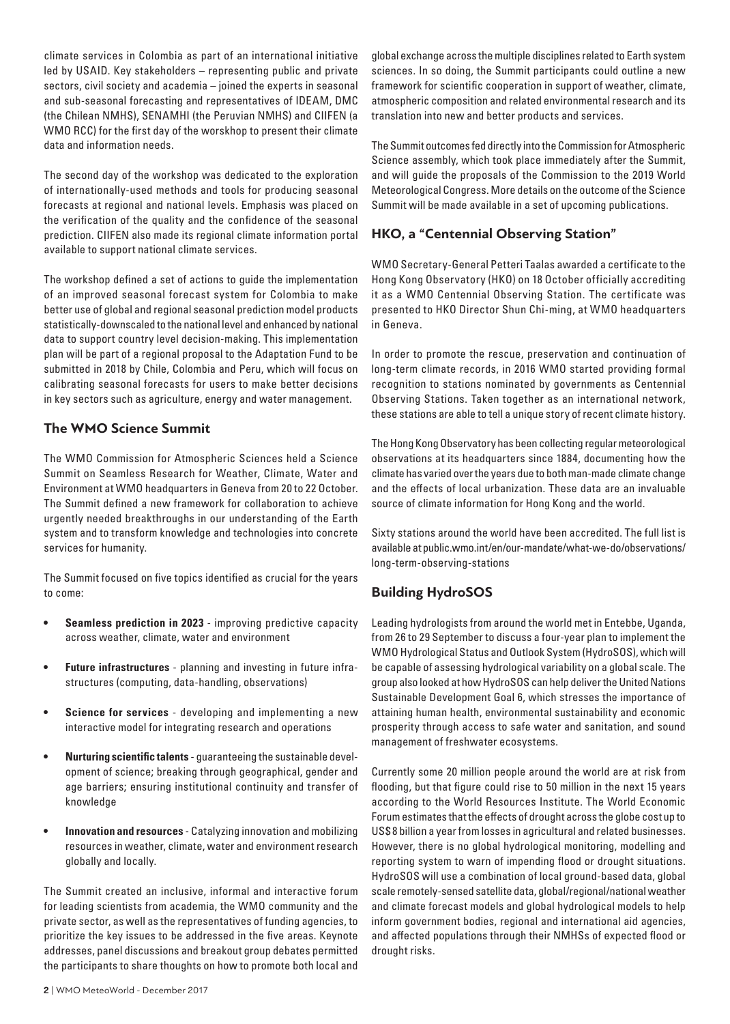climate services in Colombia as part of an international initiative led by USAID. Key stakeholders – representing public and private sectors, civil society and academia – joined the experts in seasonal and sub-seasonal forecasting and representatives of IDEAM, DMC (the Chilean NMHS), SENAMHI (the Peruvian NMHS) and CIIFEN (a WMO RCC) for the first day of the worskhop to present their climate data and information needs.

The second day of the workshop was dedicated to the exploration of internationally-used methods and tools for producing seasonal forecasts at regional and national levels. Emphasis was placed on the verification of the quality and the confidence of the seasonal prediction. CIIFEN also made its regional climate information portal available to support national climate services.

The workshop defined a set of actions to guide the implementation of an improved seasonal forecast system for Colombia to make better use of global and regional seasonal prediction model products statistically-downscaled to the national level and enhanced by national data to support country level decision-making. This implementation plan will be part of a regional proposal to the Adaptation Fund to be submitted in 2018 by Chile, Colombia and Peru, which will focus on calibrating seasonal forecasts for users to make better decisions in key sectors such as agriculture, energy and water management.

### **The WMO Science Summit**

The WMO Commission for Atmospheric Sciences held a Science Summit on Seamless Research for Weather, Climate, Water and Environment at WMO headquarters in Geneva from 20 to 22 October. The Summit defined a new framework for collaboration to achieve urgently needed breakthroughs in our understanding of the Earth system and to transform knowledge and technologies into concrete services for humanity.

The Summit focused on five topics identified as crucial for the years to come:

- **Seamless prediction in 2023** improving predictive capacity across weather, climate, water and environment
- **Future infrastructures** planning and investing in future infrastructures (computing, data-handling, observations)
- **Science for services** developing and implementing a new interactive model for integrating research and operations
- **Nurturing scientific talents** guaranteeing the sustainable development of science; breaking through geographical, gender and age barriers; ensuring institutional continuity and transfer of knowledge
- **Innovation and resources** Catalyzing innovation and mobilizing resources in weather, climate, water and environment research globally and locally.

The Summit created an inclusive, informal and interactive forum for leading scientists from academia, the WMO community and the private sector, as well as the representatives of funding agencies, to prioritize the key issues to be addressed in the five areas. Keynote addresses, panel discussions and breakout group debates permitted the participants to share thoughts on how to promote both local and The Summit outcomes fed directly into the Commission for Atmospheric Science assembly, which took place immediately after the Summit, and will guide the proposals of the Commission to the 2019 World Meteorological Congress. More details on the outcome of the Science Summit will be made available in a set of upcoming publications.

# **HKO, a "Centennial Observing Station"**

WMO Secretary-General Petteri Taalas awarded a certificate to the Hong Kong Observatory (HKO) on 18 October officially accrediting it as a WMO Centennial Observing Station. The certificate was presented to HKO Director Shun Chi-ming, at WMO headquarters in Geneva.

In order to promote the rescue, preservation and continuation of long-term climate records, in 2016 WMO started providing formal recognition to stations nominated by governments as Centennial Observing Stations. Taken together as an international network, these stations are able to tell a unique story of recent climate history.

The Hong Kong Observatory has been collecting regular meteorological observations at its headquarters since 1884, documenting how the climate has varied over the years due to both man-made climate change and the effects of local urbanization. These data are an invaluable source of climate information for Hong Kong and the world.

Sixty stations around the world have been accredited. The full list is available at public.wmo.int/en/our-mandate/what-we-do/observations/ long-term-observing-stations

# **Building HydroSOS**

Leading hydrologists from around the world met in Entebbe, Uganda, from 26 to 29 September to discuss a four-year plan to implement the WMO Hydrological Status and Outlook System (HydroSOS), which will be capable of assessing hydrological variability on a global scale. The group also looked at how HydroSOS can help deliver the United Nations Sustainable Development Goal 6, which stresses the importance of attaining human health, environmental sustainability and economic prosperity through access to safe water and sanitation, and sound management of freshwater ecosystems.

Currently some 20 million people around the world are at risk from flooding, but that figure could rise to 50 million in the next 15 years according to the World Resources Institute. The World Economic Forum estimates that the effects of drought across the globe cost up to US\$ 8 billion a year from losses in agricultural and related businesses. However, there is no global hydrological monitoring, modelling and reporting system to warn of impending flood or drought situations. HydroSOS will use a combination of local ground-based data, global scale remotely-sensed satellite data, global/regional/national weather and climate forecast models and global hydrological models to help inform government bodies, regional and international aid agencies, and affected populations through their NMHSs of expected flood or drought risks.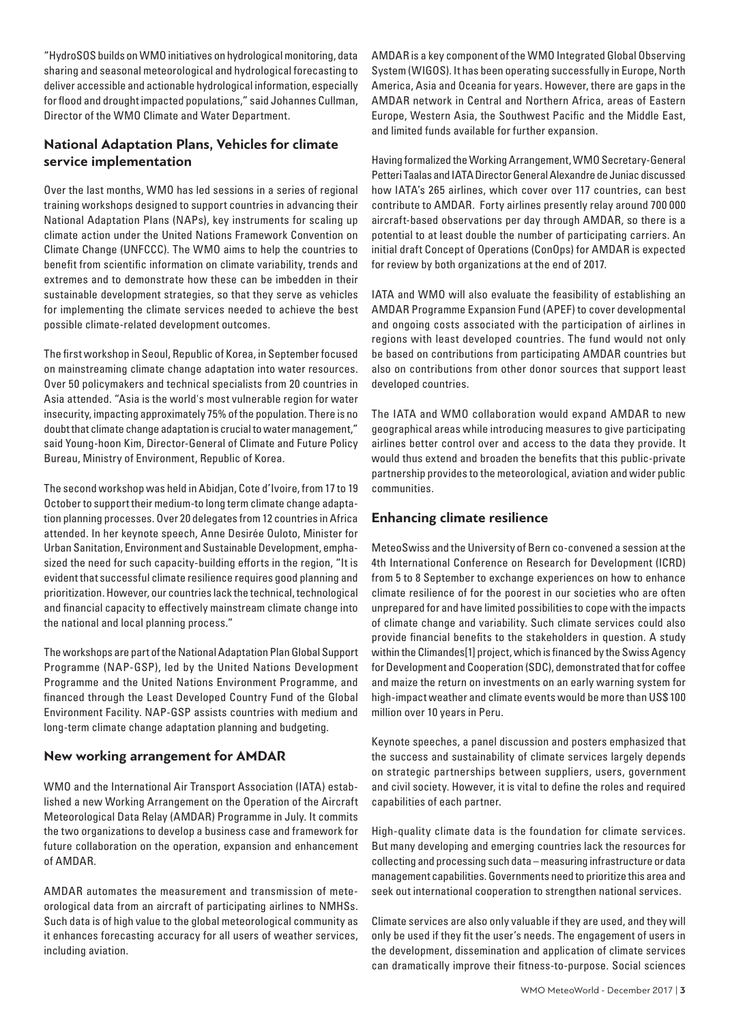"HydroSOS builds on WMO initiatives on hydrological monitoring, data sharing and seasonal meteorological and hydrological forecasting to deliver accessible and actionable hydrological information, especially for flood and drought impacted populations," said Johannes Cullman, Director of the WMO Climate and Water Department.

# **National Adaptation Plans, Vehicles for climate service implementation**

Over the last months, WMO has led sessions in a series of regional training workshops designed to support countries in advancing their National Adaptation Plans (NAPs), key instruments for scaling up climate action under the United Nations Framework Convention on Climate Change (UNFCCC). The WMO aims to help the countries to benefit from scientific information on climate variability, trends and extremes and to demonstrate how these can be imbedden in their sustainable development strategies, so that they serve as vehicles for implementing the climate services needed to achieve the best possible climate-related development outcomes.

The first workshop in Seoul, Republic of Korea, in September focused on mainstreaming climate change adaptation into water resources. Over 50 policymakers and technical specialists from 20 countries in Asia attended. "Asia is the world's most vulnerable region for water insecurity, impacting approximately 75% of the population. There is no doubt that climate change adaptation is crucial to water management," said Young-hoon Kim, Director-General of Climate and Future Policy Bureau, Ministry of Environment, Republic of Korea.

The second workshop was held in Abidjan, Cote d'Ivoire, from 17 to 19 October to support their medium-to long term climate change adaptation planning processes. Over 20 delegates from 12 countries in Africa attended. In her keynote speech, Anne Desirée Ouloto, Minister for Urban Sanitation, Environment and Sustainable Development, emphasized the need for such capacity-building efforts in the region, "It is evident that successful climate resilience requires good planning and prioritization. However, our countries lack the technical, technological and financial capacity to effectively mainstream climate change into the national and local planning process."

The workshops are part of the National Adaptation Plan Global Support Programme (NAP-GSP), led by the United Nations Development Programme and the United Nations Environment Programme, and financed through the Least Developed Country Fund of the Global Environment Facility. NAP-GSP assists countries with medium and long-term climate change adaptation planning and budgeting.

#### **New working arrangement for AMDAR**

WMO and the International Air Transport Association (IATA) established a new Working Arrangement on the Operation of the Aircraft Meteorological Data Relay (AMDAR) Programme in July. It commits the two organizations to develop a business case and framework for future collaboration on the operation, expansion and enhancement of AMDAR.

AMDAR automates the measurement and transmission of meteorological data from an aircraft of participating airlines to NMHSs. Such data is of high value to the global meteorological community as it enhances forecasting accuracy for all users of weather services, including aviation.

AMDAR is a key component of the WMO Integrated Global Observing System (WIGOS). It has been operating successfully in Europe, North America, Asia and Oceania for years. However, there are gaps in the AMDAR network in Central and Northern Africa, areas of Eastern Europe, Western Asia, the Southwest Pacific and the Middle East, and limited funds available for further expansion.

Having formalized the Working Arrangement, WMO Secretary-General Petteri Taalas and IATA Director General Alexandre de Juniac discussed how IATA's 265 airlines, which cover over 117 countries, can best contribute to AMDAR. Forty airlines presently relay around 700 000 aircraft-based observations per day through AMDAR, so there is a potential to at least double the number of participating carriers. An initial draft Concept of Operations (ConOps) for AMDAR is expected for review by both organizations at the end of 2017.

IATA and WMO will also evaluate the feasibility of establishing an AMDAR Programme Expansion Fund (APEF) to cover developmental and ongoing costs associated with the participation of airlines in regions with least developed countries. The fund would not only be based on contributions from participating AMDAR countries but also on contributions from other donor sources that support least developed countries.

The IATA and WMO collaboration would expand AMDAR to new geographical areas while introducing measures to give participating airlines better control over and access to the data they provide. It would thus extend and broaden the benefits that this public-private partnership provides to the meteorological, aviation and wider public communities.

# **Enhancing climate resilience**

MeteoSwiss and the University of Bern co-convened a session at the 4th International Conference on Research for Development (ICRD) from 5 to 8 September to exchange experiences on how to enhance climate resilience of for the poorest in our societies who are often unprepared for and have limited possibilities to cope with the impacts of climate change and variability. Such climate services could also provide financial benefits to the stakeholders in question. A study within the Climandes[1] project, which is financed by the Swiss Agency for Development and Cooperation (SDC), demonstrated that for coffee and maize the return on investments on an early warning system for high-impact weather and climate events would be more than US\$ 100 million over 10 years in Peru.

Keynote speeches, a panel discussion and posters emphasized that the success and sustainability of climate services largely depends on strategic partnerships between suppliers, users, government and civil society. However, it is vital to define the roles and required capabilities of each partner.

High-quality climate data is the foundation for climate services. But many developing and emerging countries lack the resources for collecting and processing such data – measuring infrastructure or data management capabilities. Governments need to prioritize this area and seek out international cooperation to strengthen national services.

Climate services are also only valuable if they are used, and they will only be used if they fit the user's needs. The engagement of users in the development, dissemination and application of climate services can dramatically improve their fitness-to-purpose. Social sciences